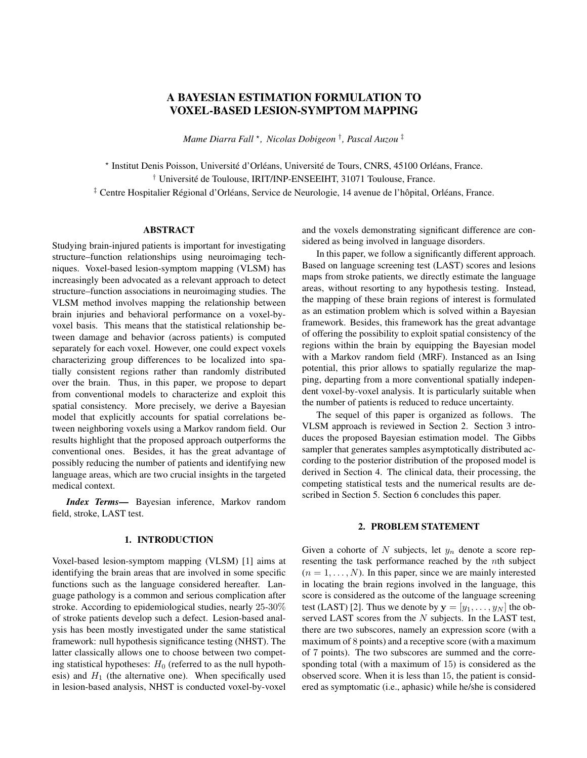# A BAYESIAN ESTIMATION FORMULATION TO VOXEL-BASED LESION-SYMPTOM MAPPING

*Mame Diarra Fall* <sup>⋆</sup> *, Nicolas Dobigeon* † *, Pascal Auzou* ‡

⋆ Institut Denis Poisson, Université d'Orléans, Université de Tours, CNRS, 45100 Orléans, France. † Université de Toulouse, IRIT/INP-ENSEEIHT, 31071 Toulouse, France. ‡ Centre Hospitalier Régional d'Orléans, Service de Neurologie, 14 avenue de l'hôpital, Orléans, France.

## ABSTRACT

Studying brain-injured patients is important for investigating structure–function relationships using neuroimaging techniques. Voxel-based lesion-symptom mapping (VLSM) has increasingly been advocated as a relevant approach to detect structure–function associations in neuroimaging studies. The VLSM method involves mapping the relationship between brain injuries and behavioral performance on a voxel-byvoxel basis. This means that the statistical relationship between damage and behavior (across patients) is computed separately for each voxel. However, one could expect voxels characterizing group differences to be localized into spatially consistent regions rather than randomly distributed over the brain. Thus, in this paper, we propose to depart from conventional models to characterize and exploit this spatial consistency. More precisely, we derive a Bayesian model that explicitly accounts for spatial correlations between neighboring voxels using a Markov random field. Our results highlight that the proposed approach outperforms the conventional ones. Besides, it has the great advantage of possibly reducing the number of patients and identifying new language areas, which are two crucial insights in the targeted medical context.

*Index Terms*— Bayesian inference, Markov random field, stroke, LAST test.

## 1. INTRODUCTION

Voxel-based lesion-symptom mapping (VLSM) [1] aims at identifying the brain areas that are involved in some specific functions such as the language considered hereafter. Language pathology is a common and serious complication after stroke. According to epidemiological studies, nearly 25-30% of stroke patients develop such a defect. Lesion-based analysis has been mostly investigated under the same statistical framework: null hypothesis significance testing (NHST). The latter classically allows one to choose between two competing statistical hypotheses:  $H_0$  (referred to as the null hypothesis) and  $H_1$  (the alternative one). When specifically used in lesion-based analysis, NHST is conducted voxel-by-voxel and the voxels demonstrating significant difference are considered as being involved in language disorders.

In this paper, we follow a significantly different approach. Based on language screening test (LAST) scores and lesions maps from stroke patients, we directly estimate the language areas, without resorting to any hypothesis testing. Instead, the mapping of these brain regions of interest is formulated as an estimation problem which is solved within a Bayesian framework. Besides, this framework has the great advantage of offering the possibility to exploit spatial consistency of the regions within the brain by equipping the Bayesian model with a Markov random field (MRF). Instanced as an Ising potential, this prior allows to spatially regularize the mapping, departing from a more conventional spatially independent voxel-by-voxel analysis. It is particularly suitable when the number of patients is reduced to reduce uncertainty.

The sequel of this paper is organized as follows. The VLSM approach is reviewed in Section 2. Section 3 introduces the proposed Bayesian estimation model. The Gibbs sampler that generates samples asymptotically distributed according to the posterior distribution of the proposed model is derived in Section 4. The clinical data, their processing, the competing statistical tests and the numerical results are described in Section 5. Section 6 concludes this paper.

## 2. PROBLEM STATEMENT

Given a cohorte of N subjects, let  $y_n$  denote a score representing the task performance reached by the nth subject  $(n = 1, \ldots, N)$ . In this paper, since we are mainly interested in locating the brain regions involved in the language, this score is considered as the outcome of the language screening test (LAST) [2]. Thus we denote by  $y = [y_1, \ldots, y_N]$  the observed LAST scores from the  $N$  subjects. In the LAST test, there are two subscores, namely an expression score (with a maximum of 8 points) and a receptive score (with a maximum of 7 points). The two subscores are summed and the corresponding total (with a maximum of 15) is considered as the observed score. When it is less than 15, the patient is considered as symptomatic (i.e., aphasic) while he/she is considered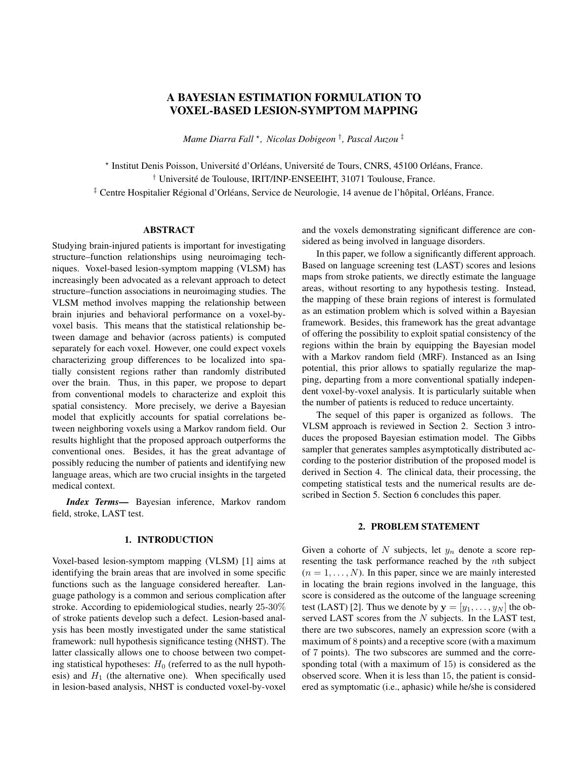as asymptomatic when the score reaches the maximum, i.e., for all  $n = 1, \ldots, N$ ,

$$
y_n \geq \begin{array}{c} \n0, \ldots, 14g, \\
f15g, \n\end{array}
$$
 if individual  $\sharp n$  is symptomatic; if individual  $\sharp n$  is asymptomatic.

Within a lesion-based study, the lesions are assumed to be (manually or automatically) delineated for each subject to produce binary lesion maps which are co-registered to a common stereotaxic space. These maps are gathered in the *N* J-matrix  $\mathbf{Z} = [\mathbf{z}_1, \dots, \mathbf{z}_J]$  with  $\mathbf{z}_j = [z_{1,j}, \dots, z_{N,j}]^T$ (where  $J$  is the total number of voxels) such that

$$
z_{n,j} = \begin{cases} 1, & \text{if voxel } \sharp j \text{ in patient } \sharp n \text{ is less in the same.} \\ 0, & \text{if voxel } \sharp j \text{ in patient } \sharp n \text{ is non-lesioned.} \end{cases}
$$

Given these two sets of observations  $v$  and  $z$ , one aims at identifying the voxels composing the language areas<sup>1</sup>. In most of the lesion-based studies, a statistical analysis is conducted following NHST. For each voxel, patients are partitioned into two groups according the state of this voxel (i.e., lesioned vs. non-lesioned). Based on this partioning, two sets of scores can be defined according to group membership. More precisely, we denote

$$
y_1^j = fy_n, n : z_{n,j} = 1g
$$
 and  $y_2^j = fy_n, n : z_{n,j} = 0g$ 

the sets of scores obtained by patients whose  $j$ th voxel is lesioned and non-lesioned, respectively, with

$$
n_1^j = \frac{\mathsf{X}}{n-1} \mathbf{1}(z_{n,j} = 1) \quad \text{ and } \quad n_2^j = \frac{\mathsf{X}}{n-1} \mathbf{1}(z_{n,j} = 0)
$$

their respective cardinalities. In lesion-symptom mapping, one is interested in whether these two groups are significantly different. In other words, for each voxel  $j \nvert 2 \nvert 1, \ldots, Jg$ , given the sets of samples  $y_1^j$  iid  $F_1$  and  $y_2^j$  iid  $F_2$  with  $F_1$  and  $F<sub>2</sub>$  unknown, one wants to decide between the two competing hypotheses

$$
H_0^j : F_1 = F_2 \quad \text{versus} \quad H_1^j : F_1 \notin F_2.
$$

The significant voxels, i.e, such that  $H_0^j$  is rejected, are considered as those belonging to language areas. In the medical literature, this two-sample problem is usually addressed via Student t-tests [1]. However, this strategy generally faces to two limitations that may question its reliability. First, the normality assumption does not always hold. Second, due to the fact that the number of subjects with lesions at a given voxel is often small, the central limit theorem does not apply. One alternative is to resort to nonparametric tests that do not rely on asymptotic results. For instance, such an approach has been adopted in [3] where a Bayesian nonparametric framework was derived. However, all aforementioned methods rely on a voxel-wise analysis, i.e., by analyzing each voxel independently of its neighbours. The aim of this work is to propose a more realistic spatial model that includes spatial interactions among neighbouring voxels. To this aim, the lesion-symptom mapping task is formulated as a statistical estimation problem, rather than a testing procedure. The language areas are located from stroke patients directly from the data. The next section describes the proposed Bayesian estimation method.

## 3. BAYESIAN ESTIMATION MODEL

Contrary to the statistical test-based procedure described above, locating the language areas is formulated as an inference task. It consists in estimating a set  $I = [\omega_1, \dots, \omega_J]^T$ of unobserved binary variables such that, for all  $j = 1, \ldots, J$ ,

$$
\omega_j = \begin{cases}\n1, & \text{if voxel } \sharp j \text{ belongs to language areas;} \\
0, & \text{otherwise.}\n\end{cases}
$$

In what follows,  $J_1$  f1, ...,  $Jq$  denotes the set of indexes of voxels belonging to language areas with  $J_1 = \text{card } f J_1 g$ . Conversely,  $J_2$  fl,..., Jg denotes the set of indexes of voxels not belonging to language areas with  $J_2 = \text{card } fJ_2g$ with  $J_1 + J_2 = J$ . These labels are estimated within a Bayesian framework, whose key ingredients are introduced below.

Likelihood – In the LAST test, any patient with a total outcome less than 15 is considered as symptomatic. Thus, to simplify the analysis, we propose to threshold the overall score by introducing a set  $\bar{y} = [\bar{y}_1, \dots, \bar{y}_N]$  of diagnosis variables such that, for all  $n = 1, \ldots, N$ ,

$$
\bar{y}_n = \begin{cases} 1, & \text{if individual } \sharp n \text{ is symptomatic} \\ 0 & \text{if individual } \sharp n \text{ is asymptomatic.} \end{cases}
$$

In what follows,  $N_1$  (resp.  $N_2$ ) will denote the number of symptomatic (resp. asymptomatic) patients,  $(N_1 + N_2 = N)$ . Then, the elements  $z_{n,j}$  of the matrix **Z** defining the binary lesion maps are assumed to be independent and identically distributed according to Bernoulli distributions

$$
z_{n,j}j\omega_j = 0 \quad \text{Ber}(\theta) \tag{1}
$$

$$
z_{n,j}j\omega_j = 1, \bar{y}_n = 1 \quad \text{Ber}(\theta_1) \tag{2}
$$

$$
z_{n,j}/\omega_j = 1, \bar{y}_n = 0 \quad \text{Ber}(\theta_0)
$$
 (3)

In (1),  $\theta$  denotes the probability, across subjects, that a voxel outside the language area is lesioned. In (2) and (3),  $\theta_1$  and  $\theta_0$ denote the lesion probability in the language area for symptomatic and asymptomatic patients, respectively. The set of unknown parameters is  $\Psi = f \cdot \theta$ ,  $\theta_0$ ,  $\theta_1$ g. We now endow them with prior distributions.

<sup>&</sup>lt;sup>1</sup>Hereafter, we refer to "language areas" the brain areas involved in language disorder.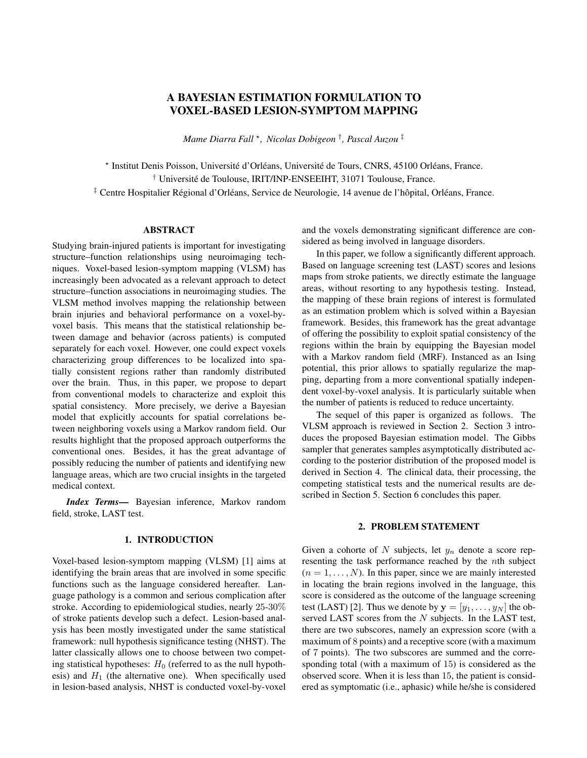**Prior modelling – We assume that the parameters** *!***,**  $\theta$ **,**  $\theta_0$ and  $\theta_1$  are a priori independent. The lesion probabilities are assigned Beta distributions

$$
\theta \quad \text{Beta}(a, b) \tag{4}
$$

$$
\theta_0 \quad \text{Beta}(a_0, b_0) \tag{5}
$$

$$
\theta_1 \quad \text{Beta}(a_1, b_1). \tag{6}
$$

Regarding the parameter of interest *!*, it is quite legitimate to consider that the components  $\omega_i$  and  $\omega_k$  (j  $\notin$  k) are not independent but there are some spatial correlations between neighboring voxels. To model this correlation, we consider an Ising model with hyperparameter  $\beta$ 

$$
\begin{array}{ccc}\n & 2 & 3 \\
\text{P} & \omega_j = k/l_{\text{y}} & / \exp 4 & \beta \delta(k - \omega_{j'})^5, & k \ 2 \ \text{f0,1g} \\
 & & & \\
\text{f}(\varepsilon \nu(j)) & & & \n\end{array}
$$

where  $\setminus j$  *is the vector <i>!* whose *j*th element has been removed,  $V(j)$  denotes the set of indexes of neighboring voxels of the jth voxel and  $\delta$  is the Kronecker symbol. The corresponding prior for *!* can be written as

$$
P[J\beta] = Z(\beta)^{-1} \exp \begin{cases} 2 & 3 \\ \mathcal{M} & \mathcal{M} \\ j=1 \ j' \in \mathcal{V}(j) \end{cases} \qquad \omega_{j'})^{\mathcal{S}}. \tag{7}
$$

The amount of spatial correlation is controlled by the Ising field parameter  $\beta$ . This latter determines the level of spatial homogeneity between neighboring voxels. A value close to zero would imply that neighboring voxels are independent. In this work, its value will be assumed to be fixed and ajusted beforehand. Its estimation can be conducted following the strategies in [4–6].

## 4. GIBBS SAMPLER

By using the Bayes rule, the posterior distribution can be expressed as follows

$$
\frac{\pi(\boldsymbol{\Psi}/\mathbf{Z},\bar{\mathbf{y}})\,\angle\,f(\mathbf{Z})\bm{\mathit{I}}\,\,,\bar{\mathbf{y}},\theta,\theta_0,\theta_1)}{\angle\,f(\mathbf{Z})\bm{\mathit{I}}\,\,,\bar{\mathbf{y}},\theta,\theta_0,\theta_1)\pi(\theta)\pi(\theta_0)\pi(\theta_1)\pi(\bm{\mathit{I}}\,)\,}
$$

where the likelihood  $f(\mathbf{z}/\mathbf{I}, \bar{\mathbf{y}}, \theta, \theta_0, \theta_1)$  has been defined in (1), (2) and (3), and the prior distributions  $\pi(\theta)$ ,  $\pi(\theta_0)$ ,  $\pi(\theta_1)$ and  $\pi$ (*!*j $\beta$ ) in (4), (5), (6), and (7). It leads to

$$
\pi(\Psi/\mathbf{Z}, \bar{\mathbf{y}}) \times
$$
\n
$$
\begin{array}{ll}\n\mathbf{\Psi} \times \mathbf{\Psi} & \mathbf{\Psi} \times \mathbf{\Psi} \\
\mathbf{\Psi} \times \mathbf{\Psi} & \mathbf{\Psi} \\
n=1 \, j \in \mathcal{I}_2 & n=1 \, j \in \mathcal{I}_1\n\end{array}
$$
\n
$$
\begin{array}{ll}\n\mathbf{\Psi} \times \mathbf{\Psi} \times \mathbf{\Psi} \\
\mathbf{\Psi} \times \mathbf{\Psi} \\
\mathbf{\Psi} \times \mathbf{\Psi} \\
\mathbf{\Psi} \times \mathbf{\Psi} \\
n=1 \, j \in \mathcal{I}_1\n\end{array}
$$
\n
$$
\begin{array}{ll}\n\mathbf{\Psi} \times \mathbf{\Psi} \\
\mathbf{\Psi} \times \mathbf{\Psi} \\
\mathbf{\Psi} \times \mathbf{\Psi} \\
\mathbf{\Psi} \times \mathbf{\Psi} \\
\mathbf{\Psi} \times \mathbf{\Psi} \\
\mathbf{\Psi} \times \mathbf{\Psi} \\
\mathbf{\Psi} \times \mathbf{\Psi} \\
\mathbf{\Psi} \\
\mathbf{\Psi} \\
\mathbf{\Psi} \\
\mathbf{\Psi} \\
\mathbf{\Psi} \\
\mathbf{\Psi} \\
\mathbf{\Psi} \\
\mathbf{\Psi} \\
\mathbf{\Psi} \\
\mathbf{\Psi} \\
\mathbf{\Psi} \\
\mathbf{\Psi} \\
\mathbf{\Psi} \\
\mathbf{\Psi} \\
\mathbf{\Psi} \\
\mathbf{\Psi} \\
\mathbf{\Psi} \\
\mathbf{\Psi} \\
\mathbf{\Psi} \\
\mathbf{\Psi} \\
\mathbf{\Psi} \\
\mathbf{\Psi} \\
\mathbf{\Psi} \\
\mathbf{\Psi} \\
\mathbf{\Psi} \\
\mathbf{\Psi} \\
\mathbf{\Psi} \\
\mathbf{\Psi} \\
\mathbf{\Psi} \\
\mathbf{\Psi} \\
\mathbf{\Psi} \\
\mathbf{\Psi} \\
\mathbf{\Psi} \\
\mathbf{\Psi} \\
\mathbf{\Psi} \\
\mathbf{\Psi} \\
\mathbf{\Psi} \\
\mathbf{\Psi} \\
\mathbf{\Psi} \\
\mathbf{\Psi} \\
\mathbf{\Psi} \\
\mathbf{\Psi} \\
\mathbf{\Psi} \\
\mathbf{\Psi} \\
\mathbf{\Psi} \\
\mathbf{\Psi} \\
\mathbf{\Psi} \\
\mathbf{\Psi} \\
\mathbf{\Psi} \\
\mathbf{\Psi} \\
\mathbf{\Psi} \\
\mathbf{\Psi} \\
\mathbf{\Psi} \\
\mathbf{\Psi} \\
\mathbf{\Psi} \\
\mathbf{\Psi} \\
\mathbf{\Psi} \\
\mathbf{\Psi} \\
\
$$

Since computing the Bayesian estimates associated to this posterior distribution is not straightforward, we propose to generate samples asymptotically distributed according to this posterior using a Gibbs sampler. It consists in drawing samples according to the full conditional of each parameter successively. These steps are detailed below.

**Sampling according to**  $\pi(\theta)$ *!*, **Z**) – The posterior probability of having a lesioned voxel outside the language area is

$$
\pi(\theta j! , \mathbf{Z}) \times \theta^{a-1} (1 - \theta)^{b-1} \overset{\text{W}}{\longrightarrow} \theta^{z_{rj}} (1 - \theta)^{1-z_{rj}}
$$
\n
$$
\times \theta^{a+\binom{P_N}{n-1}} \overset{P}{\longrightarrow} \epsilon_{\mathcal{I}_2} z_{rj})^{-1} (1 - \theta)^{b+N} J_2 - \binom{P_N}{n-1} \overset{P}{\longrightarrow} \epsilon_{\mathcal{I}_2} z_{rj})^{-1}.
$$

This conditional is recognisable as a Beta distribution with parameters  $a + \left[\begin{array}{cc}N\end{array}\right]$   $\left[\begin{array}{cc}N\end{array}\right]$  and  $b+NJ_2$   $\left[\begin{array}{cc}N\end{array}\right]$   $\left[\begin{array}{cc}N\end{array}\right]$   $\left[\begin{array}{cc}N\end{array}\right]$   $\left[\begin{array}{cc}N\end{array}\right]$ 

**Sampling according to**  $\pi(\theta_1/I, \mathbf{Z})$  – The posterior probability of having a lesioned voxel in language areas of symptomatic subjects is

$$
\pi(\theta_1/\mathbf{1}, \mathbf{Z}) \times \theta_1^{\alpha-1} (1 - \theta_1)^{b_1 - 1} \underset{n=1 \ j \in \mathcal{J}_1}{\overset{\Psi_1}{\otimes}} \times \theta_1^{z_{nj}} (1 - \theta_1)^{1 - z_{nj}}
$$
\n
$$
\times \theta_1^{a_1 + \frac{P_{N_1} P_{n-1}}{n-1}} \times \sigma_1^{z_{nj} - 1} (1 - \theta_1)^{b_1 + N_1 J_1 - \frac{P_{N_1} P_{n-1}}{n-1}} \times \sigma_1^{z_{nj} - 1}.
$$

This is also recognisable as a Beta distribution with parameters  $a_1 + \left[\begin{array}{c} N_1 \\ n=1 \end{array}\right]$   $\subset \sigma_1$   $z_{nj}$  and  $b_1 + N_1 J_1$   $\left[\begin{array}{c} N_1 \\ n=1 \end{array}\right]$   $\subset \sigma_1$   $z_{nj}$ .

**Sampling according to**  $\pi(\theta_0)^t$ , **Z**) – The posterior probability of having a lesioned voxel in language areas of asymptomatic subjects is

$$
\pi(\theta_0 j \dots) \times \theta_0^{a_0-1} (1 - \theta_0)^{b_0-1} \sum_{n=1}^{\Psi_2} \gamma \theta_0^{z_{nj}} (1 - \theta_0)^{1-z_{nj}}
$$
  

$$
\times \theta_0^{a_0+} \xrightarrow{P_{N_2} P} \xi_{\mathcal{I}_1} z_{nj} -1 \begin{pmatrix} 1 & \theta_0 \end{pmatrix}^{b_0+N_2} J_1 - \xrightarrow{P_{N_2} P} \xi_{\mathcal{I}_1} z_{nj} -1.
$$

This conditional is again a Beta distribution with parameters  $a_0 + \left[\frac{N_2}{n-1}\right]_{j \in \mathcal{J}_1} \sum_{z_{nj}}$  and  $b_0 + N_2 J_1 + \left[\frac{N_2}{n-1}\right]_{j \in \mathcal{J}_1} \sum_{z_{nj}}$ .

**Sampling according to**  $\pi$  (*!*  $\beta$ ,  $\theta$ <sub>0</sub>,  $\theta$ <sub>1</sub>, **y**, **Z**) – The vector *!* can be updated coordinate-by-coordinate using Gibbs moves. For each voxel  $j \nightharpoonup \negthinspace 1, 2, \ldots, Jg, \omega_j$  is a binary variable whose conditional distribution is defined by the probability

$$
\mathrm{P} \ \omega_j = 1/l \ \rangle_j, \mathbf{z}_j, \bar{\mathbf{y}} \ = \frac{p_1}{p_1 + p_0}
$$

where, for  $k \n\geq f0, 1q$ ,

$$
p_k = P \omega_j = k / \mathbf{I}_{\setminus j} f(\mathbf{z}_j / \omega_j = k, \bar{\mathbf{y}})
$$

 $\overline{1}$ 

with

$$
\begin{array}{ccc}\n & & \circ & & 1 \\
\text{P} & \omega_j = k/l_{\text{y}} & \text{exp}^{\text{Q}}\beta & \delta(k & \omega_{j'})\mathsf{A} \\
 & & & \downarrow_{j' \in \mathcal{V}(j)}\n\end{array}
$$